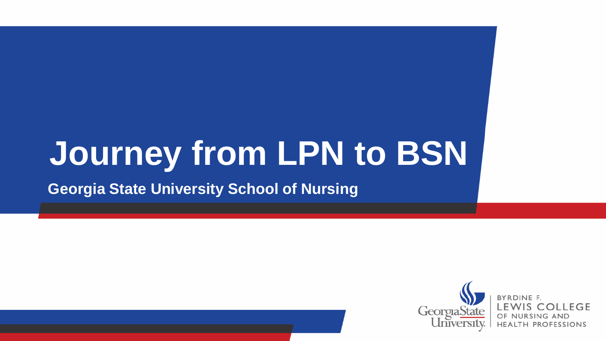# **Journey from LPN to BSN**

#### **Georgia State University School of Nursing**



**OLLEGE H PROFESSIONS**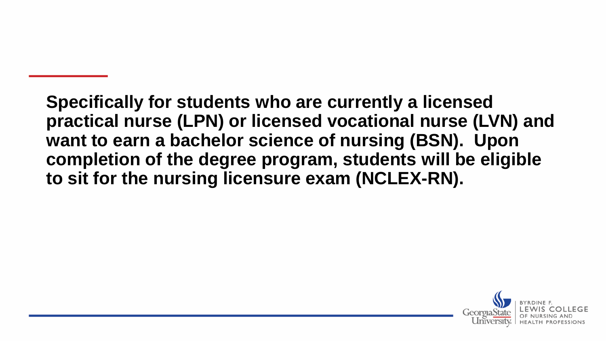**Specifically for students who are currently a licensed practical nurse (LPN) or licensed vocational nurse (LVN) and want to earn a bachelor science of nursing (BSN). Upon completion of the degree program, students will be eligible to sit for the nursing licensure exam (NCLEX-RN).**

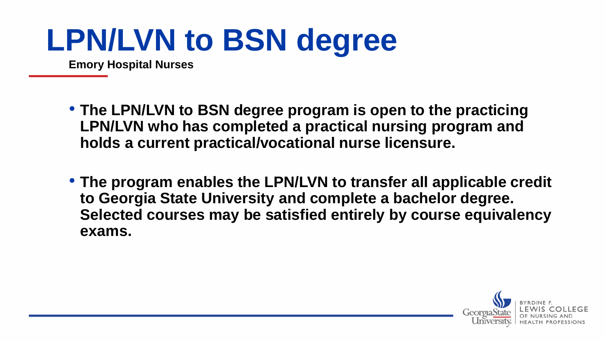## **LPN/LVN to BSN degree**

**Emory Hospital Nurses**

- **The LPN/LVN to BSN degree program is open to the practicing LPN/LVN who has completed a practical nursing program and holds a current practical/vocational nurse licensure.**
- **The program enables the LPN/LVN to transfer all applicable credit to Georgia State University and complete a bachelor degree. Selected courses may be satisfied entirely by course equivalency exams.**

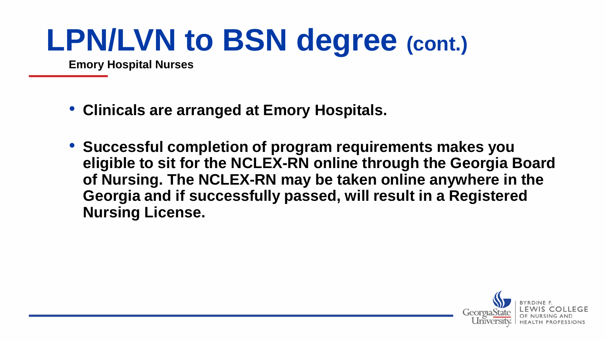## **LPN/LVN to BSN degree (cont.)**

**Emory Hospital Nurses**

- **Clinicals are arranged at Emory Hospitals.**
- **Successful completion of program requirements makes you eligible to sit for the NCLEX-RN online through the Georgia Board of Nursing. The NCLEX-RN may be taken online anywhere in the Georgia and if successfully passed, will result in a Registered Nursing License.**

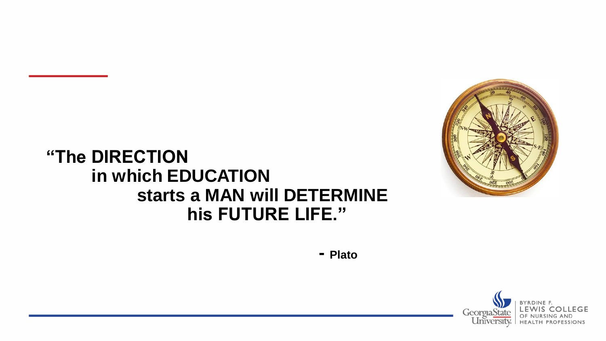

#### **"The DIRECTION in which EDUCATION starts a MAN will DETERMINE his FUTURE LIFE."**

**- Plato**

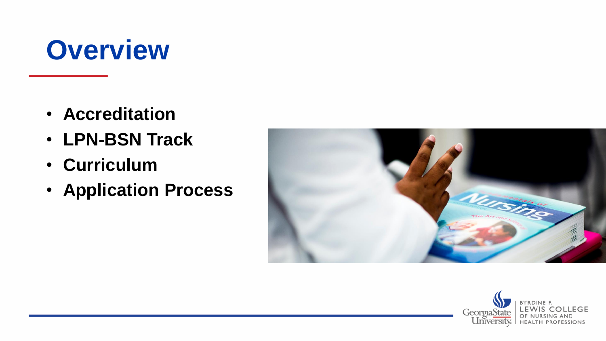## **Overview**

- **Accreditation**
- **LPN-BSN Track**
- **Curriculum**
- **Application Process**



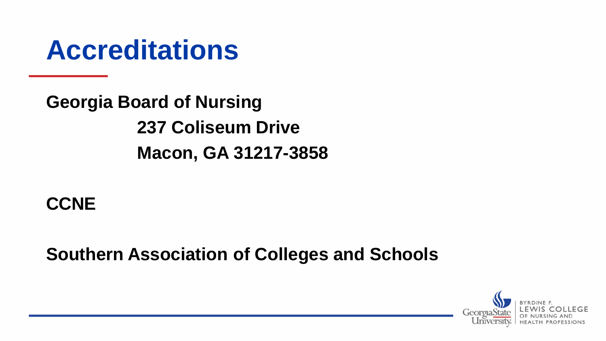#### **Accreditations**

**Georgia Board of Nursing 237 Coliseum Drive Macon, GA 31217-3858**

#### **CCNE**

**Southern Association of Colleges and Schools**

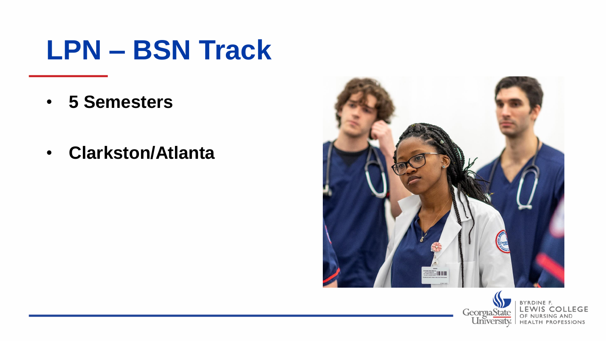## **LPN – BSN Track**

- **5 Semesters**
- **Clarkston/Atlanta**



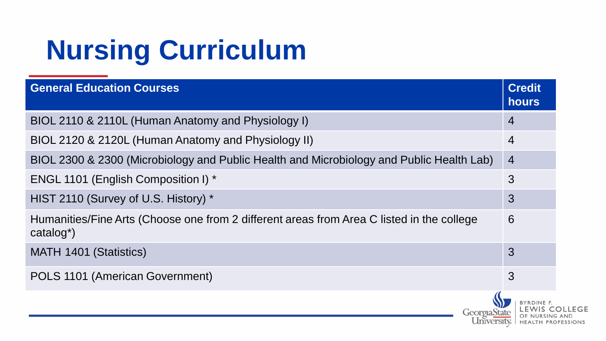| <b>General Education Courses</b>                                                                                    |              | <b>Credit</b><br><b>hours</b> |  |
|---------------------------------------------------------------------------------------------------------------------|--------------|-------------------------------|--|
| BIOL 2110 & 2110L (Human Anatomy and Physiology I)                                                                  |              | $\overline{4}$                |  |
| BIOL 2120 & 2120L (Human Anatomy and Physiology II)                                                                 |              |                               |  |
| BIOL 2300 & 2300 (Microbiology and Public Health and Microbiology and Public Health Lab)<br>$\overline{4}$          |              |                               |  |
| <b>ENGL 1101 (English Composition I) *</b>                                                                          |              |                               |  |
| HIST 2110 (Survey of U.S. History) *                                                                                |              |                               |  |
| Humanities/Fine Arts (Choose one from 2 different areas from Area C listed in the college<br>catalog <sup>*</sup> ) |              | 6                             |  |
| MATH 1401 (Statistics)                                                                                              |              | 3                             |  |
| POLS 1101 (American Government)                                                                                     |              | 3                             |  |
|                                                                                                                     | Georgia Stat | HEALTH PROFESSIONS            |  |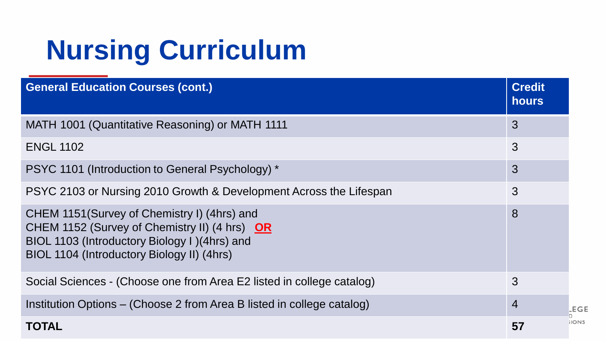| <b>General Education Courses (cont.)</b>                                                                                                                                                     | <b>Credit</b><br><b>hours</b> |
|----------------------------------------------------------------------------------------------------------------------------------------------------------------------------------------------|-------------------------------|
| MATH 1001 (Quantitative Reasoning) or MATH 1111                                                                                                                                              | 3                             |
| <b>ENGL 1102</b>                                                                                                                                                                             | 3                             |
| PSYC 1101 (Introduction to General Psychology) *                                                                                                                                             | 3                             |
| PSYC 2103 or Nursing 2010 Growth & Development Across the Lifespan                                                                                                                           | 3                             |
| CHEM 1151 (Survey of Chemistry I) (4hrs) and<br>CHEM 1152 (Survey of Chemistry II) (4 hrs) OR<br>BIOL 1103 (Introductory Biology I) (4hrs) and<br>BIOL 1104 (Introductory Biology II) (4hrs) | 8                             |
| Social Sciences - (Choose one from Area E2 listed in college catalog)                                                                                                                        | 3                             |
| Institution Options – (Choose 2 from Area B listed in college catalog)                                                                                                                       | $\overline{4}$<br>.EGE        |
| <b>TOTAL</b>                                                                                                                                                                                 | <b>IONS</b><br>57             |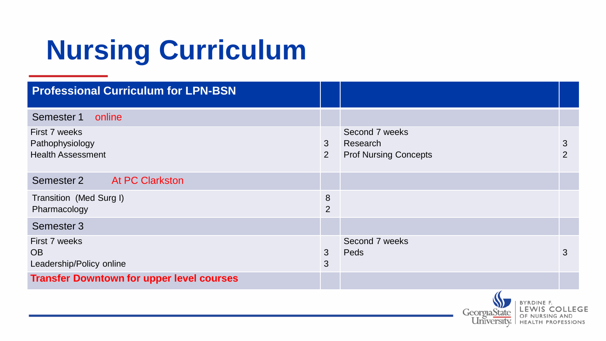| <b>Professional Curriculum for LPN-BSN</b>                   |                     |                                                            |        |
|--------------------------------------------------------------|---------------------|------------------------------------------------------------|--------|
| Semester 1<br>online                                         |                     |                                                            |        |
| First 7 weeks<br>Pathophysiology<br><b>Health Assessment</b> | 3<br>2              | Second 7 weeks<br>Research<br><b>Prof Nursing Concepts</b> | 3<br>2 |
| Semester 2<br><b>At PC Clarkston</b>                         |                     |                                                            |        |
| Transition (Med Surg I)<br>Pharmacology                      | 8<br>$\overline{2}$ |                                                            |        |
| Semester 3                                                   |                     |                                                            |        |
| First 7 weeks<br><b>OB</b><br>Leadership/Policy online       | 3<br>3              | Second 7 weeks<br>Peds                                     | 3      |
| <b>Transfer Downtown for upper level courses</b>             |                     |                                                            |        |

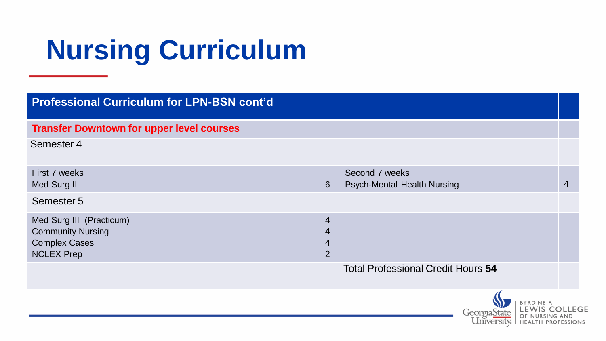| <b>Professional Curriculum for LPN-BSN cont'd</b>                                                 |                                                                      |                                                      |                |
|---------------------------------------------------------------------------------------------------|----------------------------------------------------------------------|------------------------------------------------------|----------------|
| <b>Transfer Downtown for upper level courses</b>                                                  |                                                                      |                                                      |                |
| Semester 4                                                                                        |                                                                      |                                                      |                |
| First 7 weeks<br>Med Surg II                                                                      | 6                                                                    | Second 7 weeks<br><b>Psych-Mental Health Nursing</b> | $\overline{4}$ |
| Semester 5                                                                                        |                                                                      |                                                      |                |
| Med Surg III (Practicum)<br><b>Community Nursing</b><br><b>Complex Cases</b><br><b>NCLEX Prep</b> | $\overline{4}$<br>$\overline{4}$<br>$\overline{4}$<br>$\overline{2}$ |                                                      |                |
|                                                                                                   |                                                                      | <b>Total Professional Credit Hours 54</b>            |                |

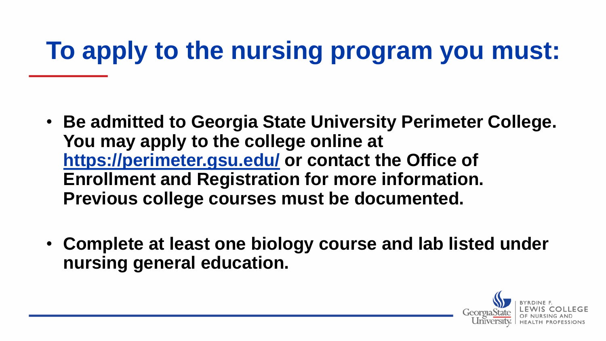## **To apply to the nursing program you must:**

- **Be admitted to Georgia State University Perimeter College. You may apply to the college online at https://perimeter.gsu.edu/ or contact the Office of Enrollment and Registration for more information. Previous college courses must be documented.**
- **Complete at least one biology course and lab listed under nursing general education.**

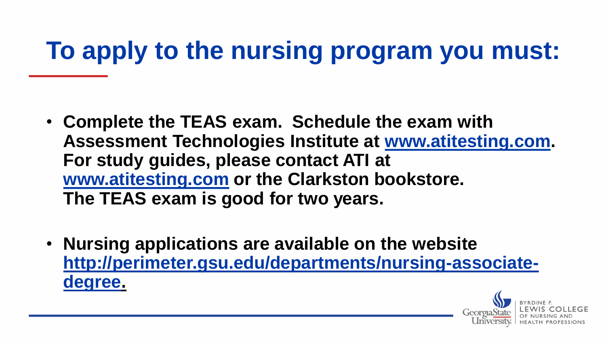## **To apply to the nursing program you must:**

- **Complete the TEAS exam. Schedule the exam with Assessment Technologies Institute at [www.atitesting.com](http://www.atitesting.com/). For study guides, please contact ATI at [www.atitesting.com](http://www.atitesting.com/) or the Clarkston bookstore. The TEAS exam is good for two years.**
- **Nursing applications are available on the website [http://perimeter.gsu.edu/departments/nursing-associate](http://perimeter.gsu.edu/departments/nursing-associate-degree)degree.**

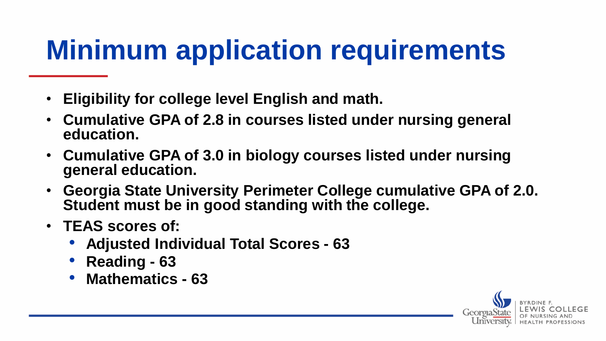## **Minimum application requirements**

- **Eligibility for college level English and math.**
- **Cumulative GPA of 2.8 in courses listed under nursing general education.**
- **Cumulative GPA of 3.0 in biology courses listed under nursing general education.**
- **Georgia State University Perimeter College cumulative GPA of 2.0. Student must be in good standing with the college.**
- **TEAS scores of:** 
	- **Adjusted Individual Total Scores - 63**
	- **Reading - 63**
	- **Mathematics - 63**

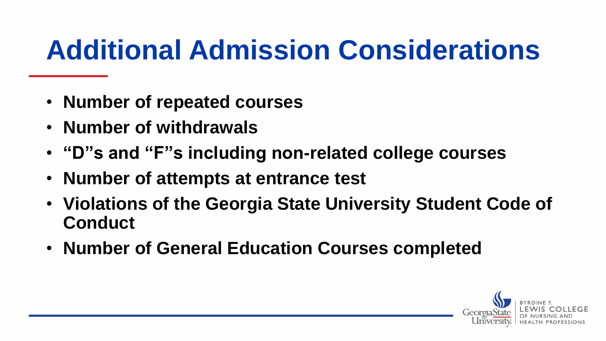## **Additional Admission Considerations**

- **Number of repeated courses**
- **Number of withdrawals**
- **"D"s and "F"s including non-related college courses**
- **Number of attempts at entrance test**
- **Violations of the Georgia State University Student Code of Conduct**
- **Number of General Education Courses completed**

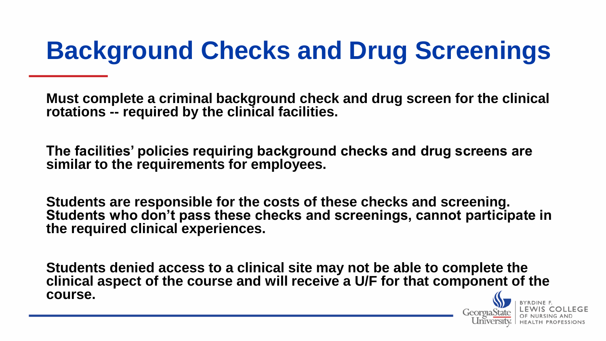## **Background Checks and Drug Screenings**

**Must complete a criminal background check and drug screen for the clinical rotations -- required by the clinical facilities.** 

**The facilities' policies requiring background checks and drug screens are similar to the requirements for employees.** 

**Students are responsible for the costs of these checks and screening. Students who don't pass these checks and screenings, cannot participate in the required clinical experiences.** 

**Students denied access to a clinical site may not be able to complete the clinical aspect of the course and will receive a U/F for that component of the course.** 

Georgia S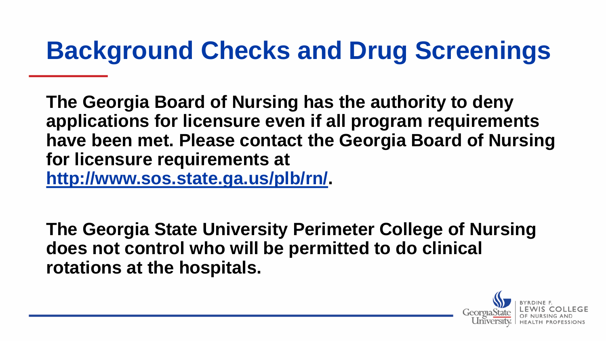#### **Background Checks and Drug Screenings**

**The Georgia Board of Nursing has the authority to deny applications for licensure even if all program requirements have been met. Please contact the Georgia Board of Nursing for licensure requirements at [http://www.sos.state.ga.us/plb/rn/.](http://www.sos.state.ga.us/plb/rn/)**

**The Georgia State University Perimeter College of Nursing does not control who will be permitted to do clinical rotations at the hospitals.**

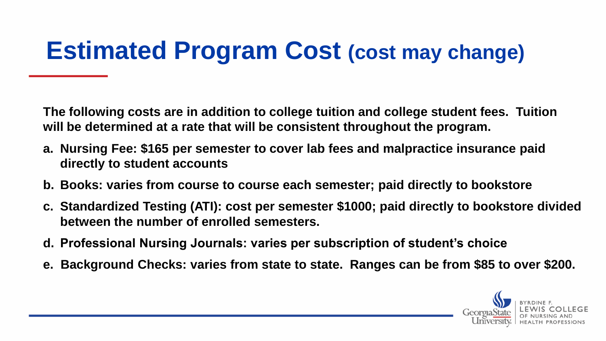#### **Estimated Program Cost (cost may change)**

**The following costs are in addition to college tuition and college student fees. Tuition will be determined at a rate that will be consistent throughout the program.**

- **a. Nursing Fee: \$165 per semester to cover lab fees and malpractice insurance paid directly to student accounts**
- **b. Books: varies from course to course each semester; paid directly to bookstore**
- **c. Standardized Testing (ATI): cost per semester \$1000; paid directly to bookstore divided between the number of enrolled semesters.**
- **d. Professional Nursing Journals: varies per subscription of student's choice**
- **e. Background Checks: varies from state to state. Ranges can be from \$85 to over \$200.**

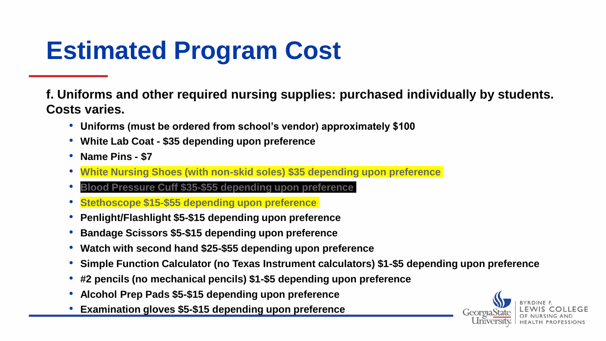## **Estimated Program Cost**

**f. Uniforms and other required nursing supplies: purchased individually by students. Costs varies.**

- **Uniforms (must be ordered from school's vendor) approximately \$100**
- **White Lab Coat - \$35 depending upon preference**
- **Name Pins - \$7**
- **White Nursing Shoes (with non-skid soles) \$35 depending upon preference**
- **Blood Pressure Cuff \$35-\$55 depending upon preference**
- **Stethoscope \$15-\$55 depending upon preference**
- **Penlight/Flashlight \$5-\$15 depending upon preference**
- **Bandage Scissors \$5-\$15 depending upon preference**
- **Watch with second hand \$25-\$55 depending upon preference**
- **Simple Function Calculator (no Texas Instrument calculators) \$1-\$5 depending upon preference**
- **#2 pencils (no mechanical pencils) \$1-\$5 depending upon preference**
- **Alcohol Prep Pads \$5-\$15 depending upon preference**
- **Examination gloves \$5-\$15 depending upon preference**

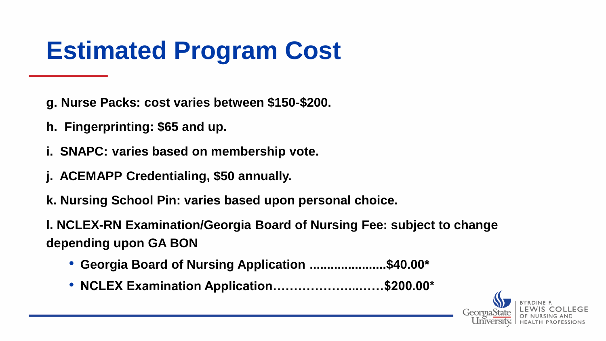#### **Estimated Program Cost**

- **g. Nurse Packs: cost varies between \$150-\$200.**
- **h. Fingerprinting: \$65 and up.**
- **i. SNAPC: varies based on membership vote.**
- **j. ACEMAPP Credentialing, \$50 annually.**
- **k. Nursing School Pin: varies based upon personal choice.**

**l. NCLEX-RN Examination/Georgia Board of Nursing Fee: subject to change depending upon GA BON**

- **Georgia Board of Nursing Application ......................\$40.00\***
- **NCLEX Examination Application………………...……\$200.00\***